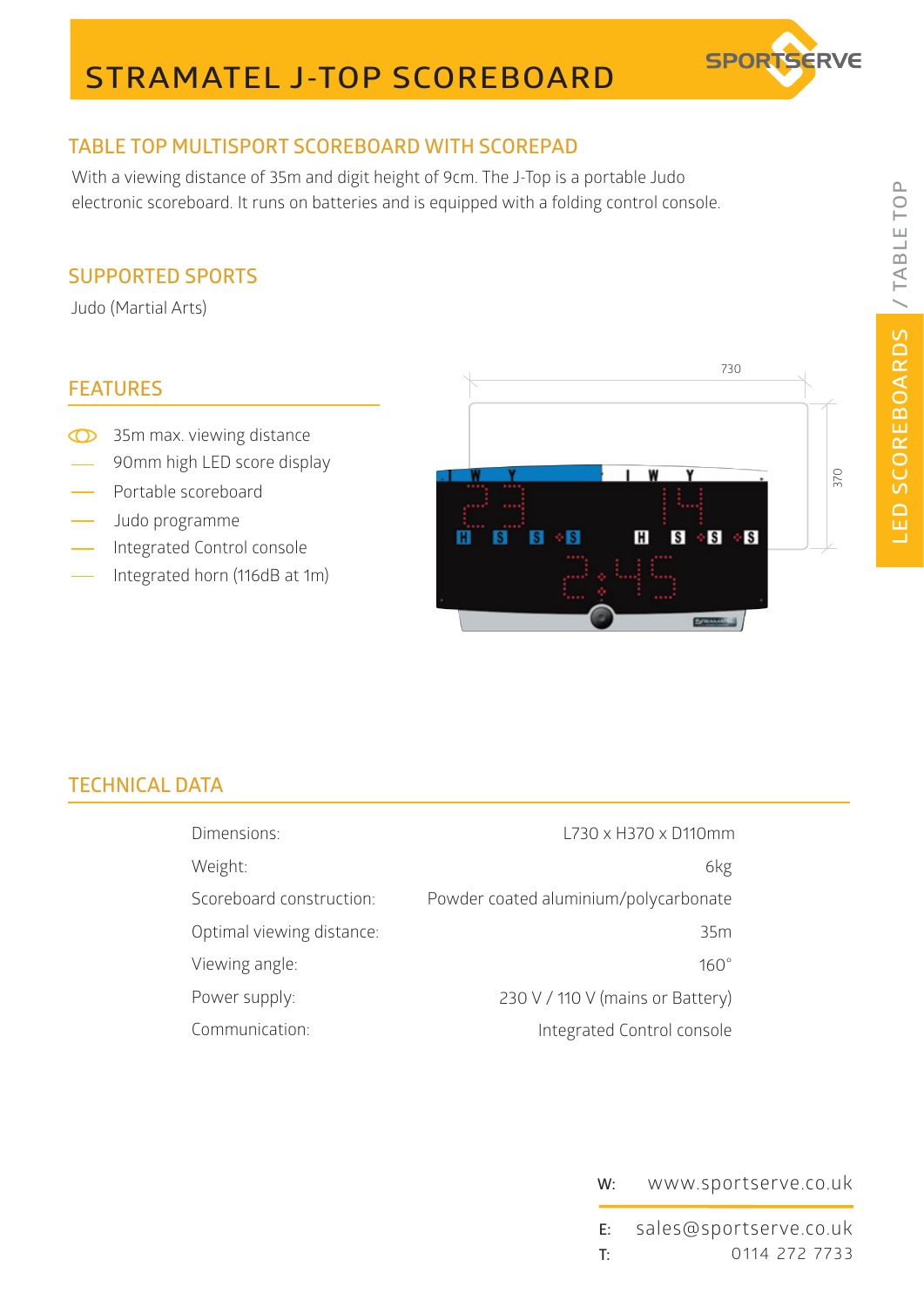# **STRAMATEL J-TOP SCOREBOARD**



## **TABLE TOP MULTISPORT SCOREBOARD WITH SCOREPAD**

With a viewing distance of 35m and digit height of 9cm. The J-Top is a portable Judo electronic scoreboard. It runs on batteries and is equipped with a folding control console.

### **SUPPORTED SPORTS**

Judo (Martial Arts)

#### **FEATURES**

- <sup>35</sup>m max. viewing distance
- 90mm high LED score display
- Portable scoreboard
- Judo programme
- Integrated Control console
- Integrated horn (116dB at 1m)



## **TECHNICAL DATA**

| Dimensions:               | L730 x H370 x D110mm                  |
|---------------------------|---------------------------------------|
| Weight:                   | 6kg                                   |
| Scoreboard construction:  | Powder coated aluminium/polycarbonate |
| Optimal viewing distance: | 35m                                   |
| Viewing angle:            | $160^\circ$                           |
| Power supply:             | 230 V / 110 V (mains or Battery)      |
| Communication:            | Integrated Control console            |

#### **W:** www.sportserve.co.uk

**E: T:** 0114 272 7733 sales@sportserve.co.uk